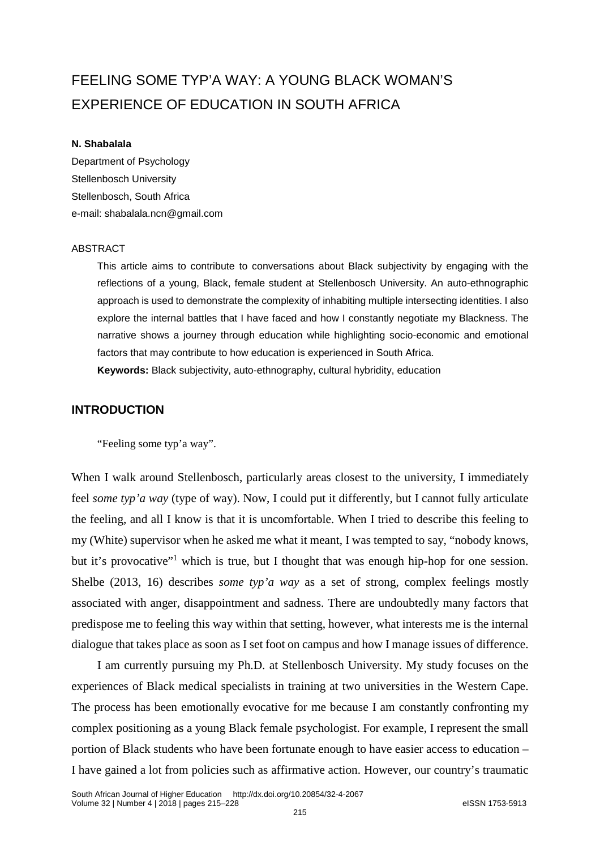# FEELING SOME TYP'A WAY: A YOUNG BLACK WOMAN'S EXPERIENCE OF EDUCATION IN SOUTH AFRICA

#### **N. Shabalala**

Department of Psychology Stellenbosch University Stellenbosch, South Africa e-mail: shabalala.ncn@gmail.com

#### ABSTRACT

This article aims to contribute to conversations about Black subjectivity by engaging with the reflections of a young, Black, female student at Stellenbosch University. An auto-ethnographic approach is used to demonstrate the complexity of inhabiting multiple intersecting identities. I also explore the internal battles that I have faced and how I constantly negotiate my Blackness. The narrative shows a journey through education while highlighting socio-economic and emotional factors that may contribute to how education is experienced in South Africa. **Keywords:** Black subjectivity, auto-ethnography, cultural hybridity, education

# **INTRODUCTION**

"Feeling some typ'a way".

When I walk around Stellenbosch, particularly areas closest to the university, I immediately feel *some typ'a way* (type of way). Now, I could put it differently, but I cannot fully articulate the feeling, and all I know is that it is uncomfortable. When I tried to describe this feeling to my (White) supervisor when he asked me what it meant, I was tempted to say, "nobody knows, but it's provocative"<sup>1</sup> which is true, but I thought that was enough hip-hop for one session. Shelbe (2013, 16) describes *some typ'a way* as a set of strong, complex feelings mostly associated with anger, disappointment and sadness. There are undoubtedly many factors that predispose me to feeling this way within that setting, however, what interests me is the internal dialogue that takes place as soon as I set foot on campus and how I manage issues of difference.

I am currently pursuing my Ph.D. at Stellenbosch University. My study focuses on the experiences of Black medical specialists in training at two universities in the Western Cape. The process has been emotionally evocative for me because I am constantly confronting my complex positioning as a young Black female psychologist. For example, I represent the small portion of Black students who have been fortunate enough to have easier access to education – I have gained a lot from policies such as affirmative action. However, our country's traumatic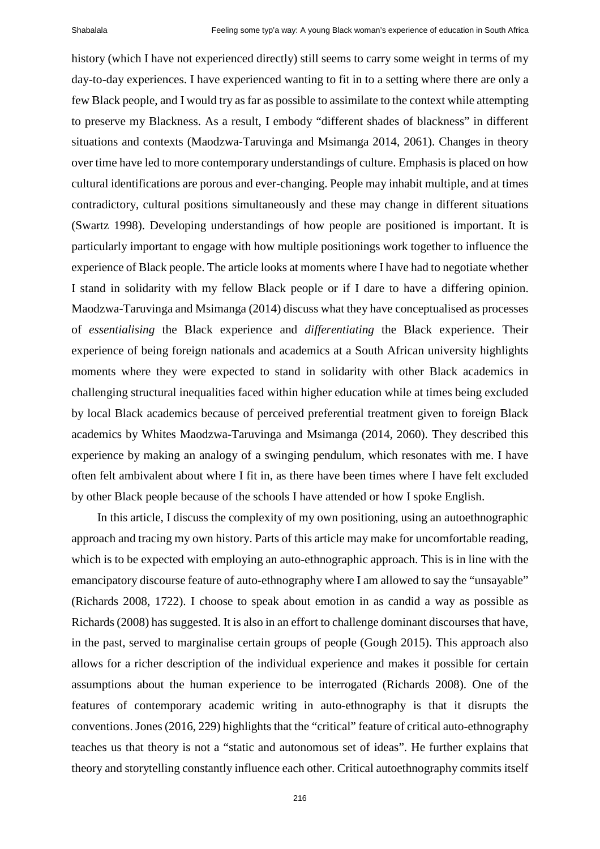history (which I have not experienced directly) still seems to carry some weight in terms of my day-to-day experiences. I have experienced wanting to fit in to a setting where there are only a few Black people, and I would try as far as possible to assimilate to the context while attempting to preserve my Blackness. As a result, I embody "different shades of blackness" in different situations and contexts (Maodzwa-Taruvinga and Msimanga 2014, 2061). Changes in theory over time have led to more contemporary understandings of culture. Emphasis is placed on how cultural identifications are porous and ever-changing. People may inhabit multiple, and at times contradictory, cultural positions simultaneously and these may change in different situations (Swartz 1998). Developing understandings of how people are positioned is important. It is particularly important to engage with how multiple positionings work together to influence the experience of Black people. The article looks at moments where I have had to negotiate whether I stand in solidarity with my fellow Black people or if I dare to have a differing opinion. Maodzwa-Taruvinga and Msimanga (2014) discuss what they have conceptualised as processes of *essentialising* the Black experience and *differentiating* the Black experience. Their experience of being foreign nationals and academics at a South African university highlights moments where they were expected to stand in solidarity with other Black academics in challenging structural inequalities faced within higher education while at times being excluded by local Black academics because of perceived preferential treatment given to foreign Black academics by Whites Maodzwa-Taruvinga and Msimanga (2014, 2060). They described this experience by making an analogy of a swinging pendulum, which resonates with me. I have often felt ambivalent about where I fit in, as there have been times where I have felt excluded by other Black people because of the schools I have attended or how I spoke English.

In this article, I discuss the complexity of my own positioning, using an autoethnographic approach and tracing my own history. Parts of this article may make for uncomfortable reading, which is to be expected with employing an auto-ethnographic approach. This is in line with the emancipatory discourse feature of auto-ethnography where I am allowed to say the "unsayable" (Richards 2008, 1722). I choose to speak about emotion in as candid a way as possible as Richards (2008) has suggested. It is also in an effort to challenge dominant discourses that have, in the past, served to marginalise certain groups of people (Gough 2015). This approach also allows for a richer description of the individual experience and makes it possible for certain assumptions about the human experience to be interrogated (Richards 2008). One of the features of contemporary academic writing in auto-ethnography is that it disrupts the conventions. Jones (2016, 229) highlights that the "critical" feature of critical auto-ethnography teaches us that theory is not a "static and autonomous set of ideas". He further explains that theory and storytelling constantly influence each other. Critical autoethnography commits itself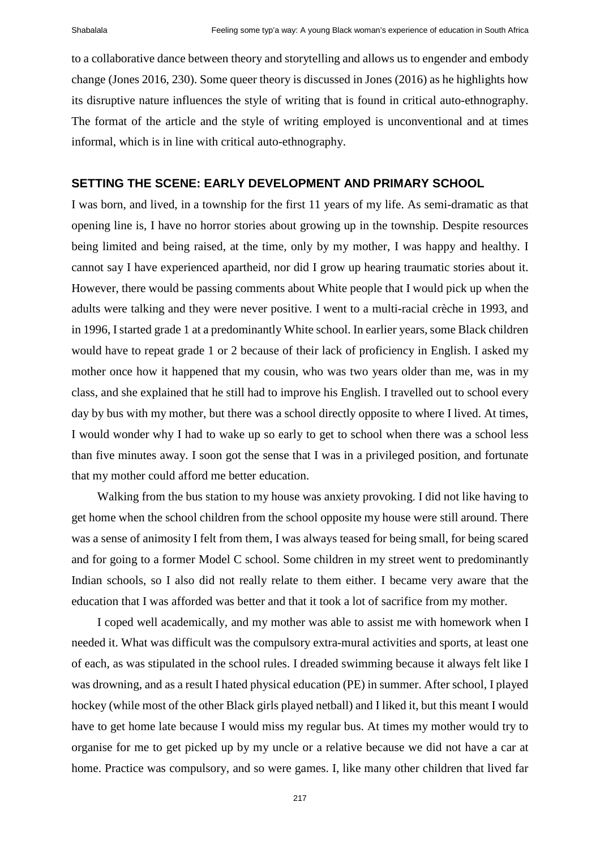to a collaborative dance between theory and storytelling and allows us to engender and embody change (Jones 2016, 230). Some queer theory is discussed in Jones (2016) as he highlights how its disruptive nature influences the style of writing that is found in critical auto-ethnography. The format of the article and the style of writing employed is unconventional and at times informal, which is in line with critical auto-ethnography.

## **SETTING THE SCENE: EARLY DEVELOPMENT AND PRIMARY SCHOOL**

I was born, and lived, in a township for the first 11 years of my life. As semi-dramatic as that opening line is, I have no horror stories about growing up in the township. Despite resources being limited and being raised, at the time, only by my mother, I was happy and healthy. I cannot say I have experienced apartheid, nor did I grow up hearing traumatic stories about it. However, there would be passing comments about White people that I would pick up when the adults were talking and they were never positive. I went to a multi-racial crèche in 1993, and in 1996, I started grade 1 at a predominantly White school. In earlier years, some Black children would have to repeat grade 1 or 2 because of their lack of proficiency in English. I asked my mother once how it happened that my cousin, who was two years older than me, was in my class, and she explained that he still had to improve his English. I travelled out to school every day by bus with my mother, but there was a school directly opposite to where I lived. At times, I would wonder why I had to wake up so early to get to school when there was a school less than five minutes away. I soon got the sense that I was in a privileged position, and fortunate that my mother could afford me better education.

Walking from the bus station to my house was anxiety provoking. I did not like having to get home when the school children from the school opposite my house were still around. There was a sense of animosity I felt from them, I was always teased for being small, for being scared and for going to a former Model C school. Some children in my street went to predominantly Indian schools, so I also did not really relate to them either. I became very aware that the education that I was afforded was better and that it took a lot of sacrifice from my mother.

I coped well academically, and my mother was able to assist me with homework when I needed it. What was difficult was the compulsory extra-mural activities and sports, at least one of each, as was stipulated in the school rules. I dreaded swimming because it always felt like I was drowning, and as a result I hated physical education (PE) in summer. After school, I played hockey (while most of the other Black girls played netball) and I liked it, but this meant I would have to get home late because I would miss my regular bus. At times my mother would try to organise for me to get picked up by my uncle or a relative because we did not have a car at home. Practice was compulsory, and so were games. I, like many other children that lived far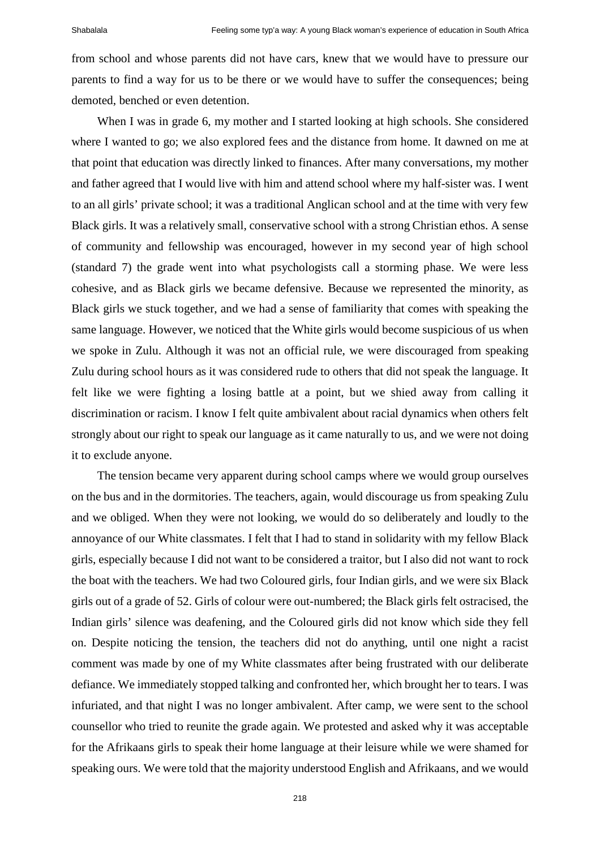from school and whose parents did not have cars, knew that we would have to pressure our parents to find a way for us to be there or we would have to suffer the consequences; being demoted, benched or even detention.

When I was in grade 6, my mother and I started looking at high schools. She considered where I wanted to go; we also explored fees and the distance from home. It dawned on me at that point that education was directly linked to finances. After many conversations, my mother and father agreed that I would live with him and attend school where my half-sister was. I went to an all girls' private school; it was a traditional Anglican school and at the time with very few Black girls. It was a relatively small, conservative school with a strong Christian ethos. A sense of community and fellowship was encouraged, however in my second year of high school (standard 7) the grade went into what psychologists call a storming phase. We were less cohesive, and as Black girls we became defensive. Because we represented the minority, as Black girls we stuck together, and we had a sense of familiarity that comes with speaking the same language. However, we noticed that the White girls would become suspicious of us when we spoke in Zulu. Although it was not an official rule, we were discouraged from speaking Zulu during school hours as it was considered rude to others that did not speak the language. It felt like we were fighting a losing battle at a point, but we shied away from calling it discrimination or racism. I know I felt quite ambivalent about racial dynamics when others felt strongly about our right to speak our language as it came naturally to us, and we were not doing it to exclude anyone.

The tension became very apparent during school camps where we would group ourselves on the bus and in the dormitories. The teachers, again, would discourage us from speaking Zulu and we obliged. When they were not looking, we would do so deliberately and loudly to the annoyance of our White classmates. I felt that I had to stand in solidarity with my fellow Black girls, especially because I did not want to be considered a traitor, but I also did not want to rock the boat with the teachers. We had two Coloured girls, four Indian girls, and we were six Black girls out of a grade of 52. Girls of colour were out-numbered; the Black girls felt ostracised, the Indian girls' silence was deafening, and the Coloured girls did not know which side they fell on. Despite noticing the tension, the teachers did not do anything, until one night a racist comment was made by one of my White classmates after being frustrated with our deliberate defiance. We immediately stopped talking and confronted her, which brought her to tears. I was infuriated, and that night I was no longer ambivalent. After camp, we were sent to the school counsellor who tried to reunite the grade again. We protested and asked why it was acceptable for the Afrikaans girls to speak their home language at their leisure while we were shamed for speaking ours. We were told that the majority understood English and Afrikaans, and we would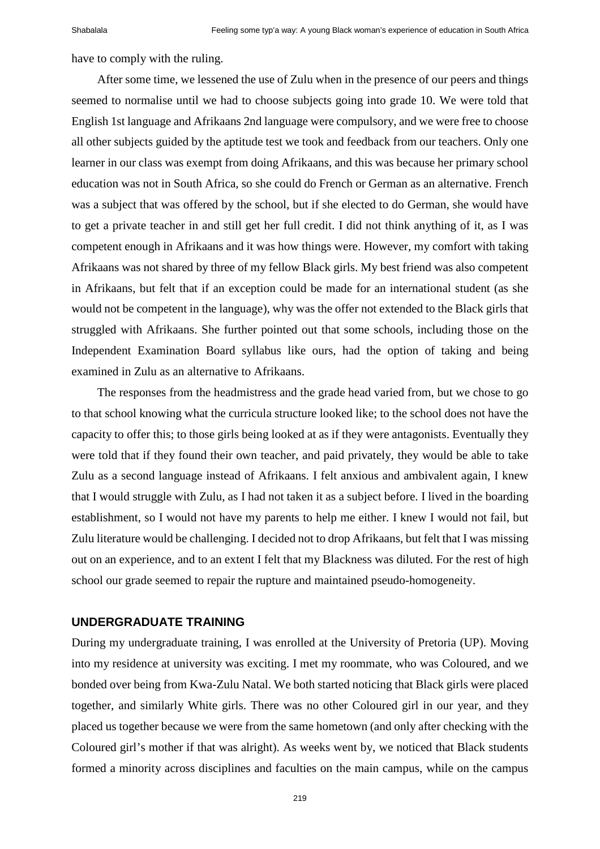have to comply with the ruling.

After some time, we lessened the use of Zulu when in the presence of our peers and things seemed to normalise until we had to choose subjects going into grade 10. We were told that English 1st language and Afrikaans 2nd language were compulsory, and we were free to choose all other subjects guided by the aptitude test we took and feedback from our teachers. Only one learner in our class was exempt from doing Afrikaans, and this was because her primary school education was not in South Africa, so she could do French or German as an alternative. French was a subject that was offered by the school, but if she elected to do German, she would have to get a private teacher in and still get her full credit. I did not think anything of it, as I was competent enough in Afrikaans and it was how things were. However, my comfort with taking Afrikaans was not shared by three of my fellow Black girls. My best friend was also competent in Afrikaans, but felt that if an exception could be made for an international student (as she would not be competent in the language), why was the offer not extended to the Black girls that struggled with Afrikaans. She further pointed out that some schools, including those on the Independent Examination Board syllabus like ours, had the option of taking and being examined in Zulu as an alternative to Afrikaans.

The responses from the headmistress and the grade head varied from, but we chose to go to that school knowing what the curricula structure looked like; to the school does not have the capacity to offer this; to those girls being looked at as if they were antagonists. Eventually they were told that if they found their own teacher, and paid privately, they would be able to take Zulu as a second language instead of Afrikaans. I felt anxious and ambivalent again, I knew that I would struggle with Zulu, as I had not taken it as a subject before. I lived in the boarding establishment, so I would not have my parents to help me either. I knew I would not fail, but Zulu literature would be challenging. I decided not to drop Afrikaans, but felt that I was missing out on an experience, and to an extent I felt that my Blackness was diluted. For the rest of high school our grade seemed to repair the rupture and maintained pseudo-homogeneity.

## **UNDERGRADUATE TRAINING**

During my undergraduate training, I was enrolled at the University of Pretoria (UP). Moving into my residence at university was exciting. I met my roommate, who was Coloured, and we bonded over being from Kwa-Zulu Natal. We both started noticing that Black girls were placed together, and similarly White girls. There was no other Coloured girl in our year, and they placed us together because we were from the same hometown (and only after checking with the Coloured girl's mother if that was alright). As weeks went by, we noticed that Black students formed a minority across disciplines and faculties on the main campus, while on the campus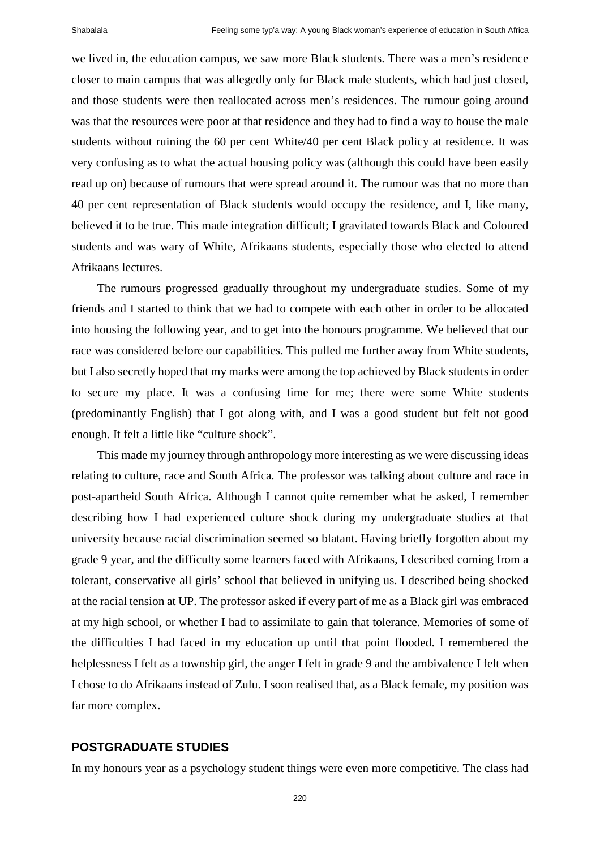we lived in, the education campus, we saw more Black students. There was a men's residence closer to main campus that was allegedly only for Black male students, which had just closed, and those students were then reallocated across men's residences. The rumour going around was that the resources were poor at that residence and they had to find a way to house the male students without ruining the 60 per cent White/40 per cent Black policy at residence. It was very confusing as to what the actual housing policy was (although this could have been easily read up on) because of rumours that were spread around it. The rumour was that no more than 40 per cent representation of Black students would occupy the residence, and I, like many, believed it to be true. This made integration difficult; I gravitated towards Black and Coloured students and was wary of White, Afrikaans students, especially those who elected to attend Afrikaans lectures.

The rumours progressed gradually throughout my undergraduate studies. Some of my friends and I started to think that we had to compete with each other in order to be allocated into housing the following year, and to get into the honours programme. We believed that our race was considered before our capabilities. This pulled me further away from White students, but I also secretly hoped that my marks were among the top achieved by Black students in order to secure my place. It was a confusing time for me; there were some White students (predominantly English) that I got along with, and I was a good student but felt not good enough. It felt a little like "culture shock".

This made my journey through anthropology more interesting as we were discussing ideas relating to culture, race and South Africa. The professor was talking about culture and race in post-apartheid South Africa. Although I cannot quite remember what he asked, I remember describing how I had experienced culture shock during my undergraduate studies at that university because racial discrimination seemed so blatant. Having briefly forgotten about my grade 9 year, and the difficulty some learners faced with Afrikaans, I described coming from a tolerant, conservative all girls' school that believed in unifying us. I described being shocked at the racial tension at UP. The professor asked if every part of me as a Black girl was embraced at my high school, or whether I had to assimilate to gain that tolerance. Memories of some of the difficulties I had faced in my education up until that point flooded. I remembered the helplessness I felt as a township girl, the anger I felt in grade 9 and the ambivalence I felt when I chose to do Afrikaans instead of Zulu. I soon realised that, as a Black female, my position was far more complex.

## **POSTGRADUATE STUDIES**

In my honours year as a psychology student things were even more competitive. The class had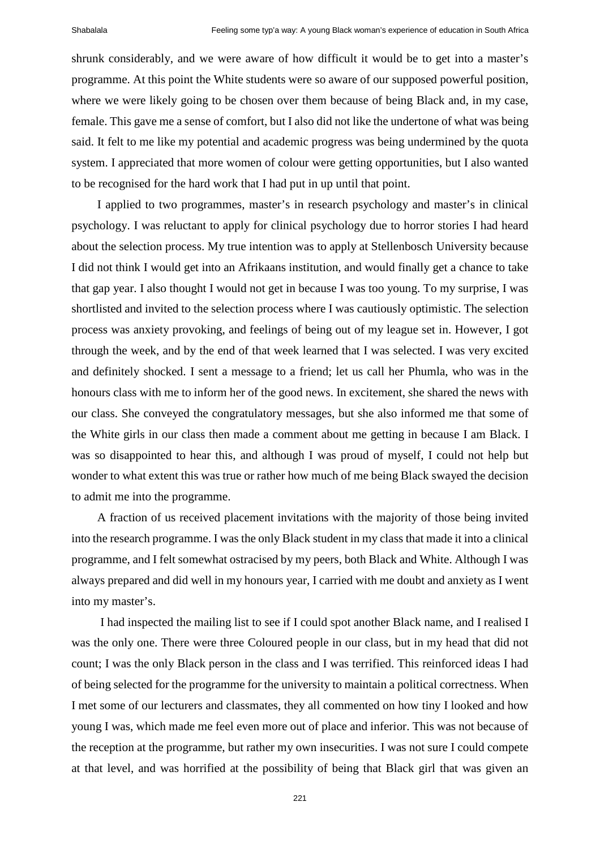shrunk considerably, and we were aware of how difficult it would be to get into a master's programme. At this point the White students were so aware of our supposed powerful position, where we were likely going to be chosen over them because of being Black and, in my case, female. This gave me a sense of comfort, but I also did not like the undertone of what was being said. It felt to me like my potential and academic progress was being undermined by the quota system. I appreciated that more women of colour were getting opportunities, but I also wanted to be recognised for the hard work that I had put in up until that point.

I applied to two programmes, master's in research psychology and master's in clinical psychology. I was reluctant to apply for clinical psychology due to horror stories I had heard about the selection process. My true intention was to apply at Stellenbosch University because I did not think I would get into an Afrikaans institution, and would finally get a chance to take that gap year. I also thought I would not get in because I was too young. To my surprise, I was shortlisted and invited to the selection process where I was cautiously optimistic. The selection process was anxiety provoking, and feelings of being out of my league set in. However, I got through the week, and by the end of that week learned that I was selected. I was very excited and definitely shocked. I sent a message to a friend; let us call her Phumla, who was in the honours class with me to inform her of the good news. In excitement, she shared the news with our class. She conveyed the congratulatory messages, but she also informed me that some of the White girls in our class then made a comment about me getting in because I am Black. I was so disappointed to hear this, and although I was proud of myself, I could not help but wonder to what extent this was true or rather how much of me being Black swayed the decision to admit me into the programme.

A fraction of us received placement invitations with the majority of those being invited into the research programme. I was the only Black student in my class that made it into a clinical programme, and I felt somewhat ostracised by my peers, both Black and White. Although I was always prepared and did well in my honours year, I carried with me doubt and anxiety as I went into my master's.

I had inspected the mailing list to see if I could spot another Black name, and I realised I was the only one. There were three Coloured people in our class, but in my head that did not count; I was the only Black person in the class and I was terrified. This reinforced ideas I had of being selected for the programme for the university to maintain a political correctness. When I met some of our lecturers and classmates, they all commented on how tiny I looked and how young I was, which made me feel even more out of place and inferior. This was not because of the reception at the programme, but rather my own insecurities. I was not sure I could compete at that level, and was horrified at the possibility of being that Black girl that was given an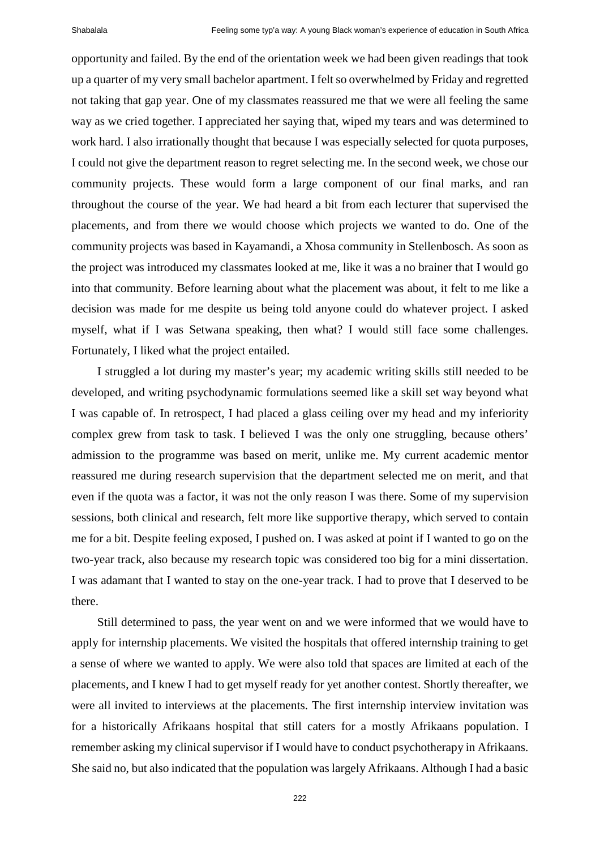opportunity and failed. By the end of the orientation week we had been given readings that took up a quarter of my very small bachelor apartment. I felt so overwhelmed by Friday and regretted not taking that gap year. One of my classmates reassured me that we were all feeling the same way as we cried together. I appreciated her saying that, wiped my tears and was determined to work hard. I also irrationally thought that because I was especially selected for quota purposes, I could not give the department reason to regret selecting me. In the second week, we chose our community projects. These would form a large component of our final marks, and ran throughout the course of the year. We had heard a bit from each lecturer that supervised the placements, and from there we would choose which projects we wanted to do. One of the community projects was based in Kayamandi, a Xhosa community in Stellenbosch. As soon as the project was introduced my classmates looked at me, like it was a no brainer that I would go into that community. Before learning about what the placement was about, it felt to me like a decision was made for me despite us being told anyone could do whatever project. I asked myself, what if I was Setwana speaking, then what? I would still face some challenges. Fortunately, I liked what the project entailed.

I struggled a lot during my master's year; my academic writing skills still needed to be developed, and writing psychodynamic formulations seemed like a skill set way beyond what I was capable of. In retrospect, I had placed a glass ceiling over my head and my inferiority complex grew from task to task. I believed I was the only one struggling, because others' admission to the programme was based on merit, unlike me. My current academic mentor reassured me during research supervision that the department selected me on merit, and that even if the quota was a factor, it was not the only reason I was there. Some of my supervision sessions, both clinical and research, felt more like supportive therapy, which served to contain me for a bit. Despite feeling exposed, I pushed on. I was asked at point if I wanted to go on the two-year track, also because my research topic was considered too big for a mini dissertation. I was adamant that I wanted to stay on the one-year track. I had to prove that I deserved to be there.

Still determined to pass, the year went on and we were informed that we would have to apply for internship placements. We visited the hospitals that offered internship training to get a sense of where we wanted to apply. We were also told that spaces are limited at each of the placements, and I knew I had to get myself ready for yet another contest. Shortly thereafter, we were all invited to interviews at the placements. The first internship interview invitation was for a historically Afrikaans hospital that still caters for a mostly Afrikaans population. I remember asking my clinical supervisor if I would have to conduct psychotherapy in Afrikaans. She said no, but also indicated that the population was largely Afrikaans. Although I had a basic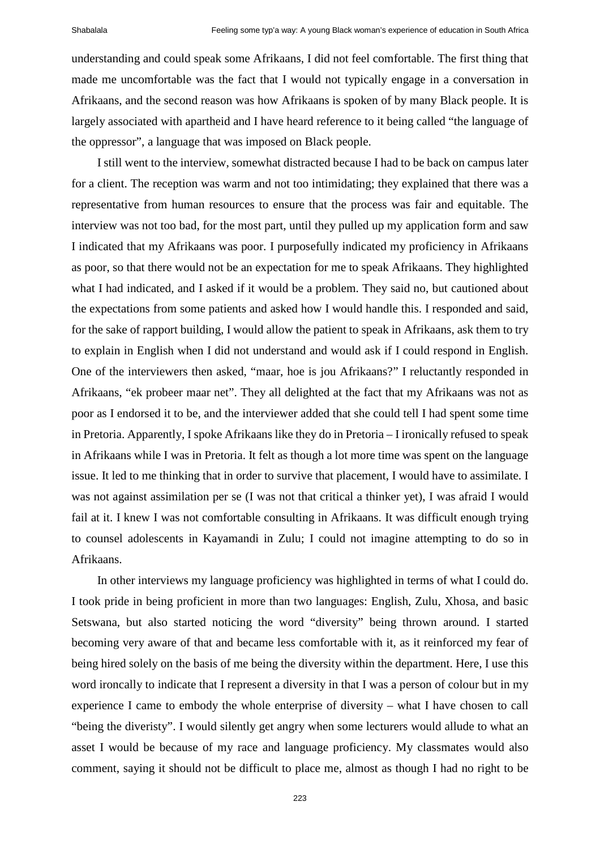understanding and could speak some Afrikaans, I did not feel comfortable. The first thing that made me uncomfortable was the fact that I would not typically engage in a conversation in Afrikaans, and the second reason was how Afrikaans is spoken of by many Black people. It is largely associated with apartheid and I have heard reference to it being called "the language of the oppressor", a language that was imposed on Black people.

I still went to the interview, somewhat distracted because I had to be back on campus later for a client. The reception was warm and not too intimidating; they explained that there was a representative from human resources to ensure that the process was fair and equitable. The interview was not too bad, for the most part, until they pulled up my application form and saw I indicated that my Afrikaans was poor. I purposefully indicated my proficiency in Afrikaans as poor, so that there would not be an expectation for me to speak Afrikaans. They highlighted what I had indicated, and I asked if it would be a problem. They said no, but cautioned about the expectations from some patients and asked how I would handle this. I responded and said, for the sake of rapport building, I would allow the patient to speak in Afrikaans, ask them to try to explain in English when I did not understand and would ask if I could respond in English. One of the interviewers then asked, "maar, hoe is jou Afrikaans?" I reluctantly responded in Afrikaans, "ek probeer maar net". They all delighted at the fact that my Afrikaans was not as poor as I endorsed it to be, and the interviewer added that she could tell I had spent some time in Pretoria. Apparently, I spoke Afrikaans like they do in Pretoria – I ironically refused to speak in Afrikaans while I was in Pretoria. It felt as though a lot more time was spent on the language issue. It led to me thinking that in order to survive that placement, I would have to assimilate. I was not against assimilation per se (I was not that critical a thinker yet), I was afraid I would fail at it. I knew I was not comfortable consulting in Afrikaans. It was difficult enough trying to counsel adolescents in Kayamandi in Zulu; I could not imagine attempting to do so in Afrikaans.

In other interviews my language proficiency was highlighted in terms of what I could do. I took pride in being proficient in more than two languages: English, Zulu, Xhosa, and basic Setswana, but also started noticing the word "diversity" being thrown around. I started becoming very aware of that and became less comfortable with it, as it reinforced my fear of being hired solely on the basis of me being the diversity within the department. Here, I use this word ironcally to indicate that I represent a diversity in that I was a person of colour but in my experience I came to embody the whole enterprise of diversity – what I have chosen to call "being the diveristy". I would silently get angry when some lecturers would allude to what an asset I would be because of my race and language proficiency. My classmates would also comment, saying it should not be difficult to place me, almost as though I had no right to be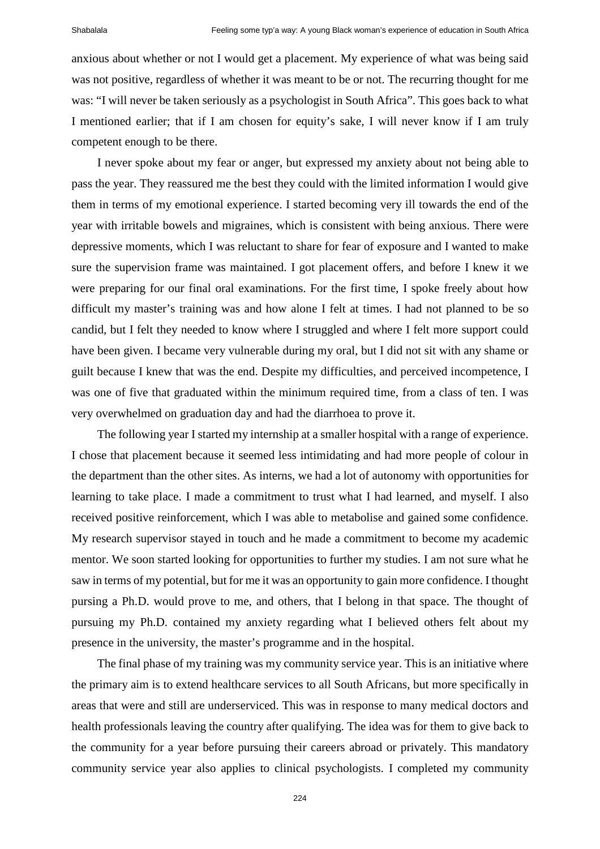anxious about whether or not I would get a placement. My experience of what was being said was not positive, regardless of whether it was meant to be or not. The recurring thought for me was: "I will never be taken seriously as a psychologist in South Africa". This goes back to what I mentioned earlier; that if I am chosen for equity's sake, I will never know if I am truly competent enough to be there.

I never spoke about my fear or anger, but expressed my anxiety about not being able to pass the year. They reassured me the best they could with the limited information I would give them in terms of my emotional experience. I started becoming very ill towards the end of the year with irritable bowels and migraines, which is consistent with being anxious. There were depressive moments, which I was reluctant to share for fear of exposure and I wanted to make sure the supervision frame was maintained. I got placement offers, and before I knew it we were preparing for our final oral examinations. For the first time, I spoke freely about how difficult my master's training was and how alone I felt at times. I had not planned to be so candid, but I felt they needed to know where I struggled and where I felt more support could have been given. I became very vulnerable during my oral, but I did not sit with any shame or guilt because I knew that was the end. Despite my difficulties, and perceived incompetence, I was one of five that graduated within the minimum required time, from a class of ten. I was very overwhelmed on graduation day and had the diarrhoea to prove it.

The following year I started my internship at a smaller hospital with a range of experience. I chose that placement because it seemed less intimidating and had more people of colour in the department than the other sites. As interns, we had a lot of autonomy with opportunities for learning to take place. I made a commitment to trust what I had learned, and myself. I also received positive reinforcement, which I was able to metabolise and gained some confidence. My research supervisor stayed in touch and he made a commitment to become my academic mentor. We soon started looking for opportunities to further my studies. I am not sure what he saw in terms of my potential, but for me it was an opportunity to gain more confidence. I thought pursing a Ph.D. would prove to me, and others, that I belong in that space. The thought of pursuing my Ph.D. contained my anxiety regarding what I believed others felt about my presence in the university, the master's programme and in the hospital.

The final phase of my training was my community service year. This is an initiative where the primary aim is to extend healthcare services to all South Africans, but more specifically in areas that were and still are underserviced. This was in response to many medical doctors and health professionals leaving the country after qualifying. The idea was for them to give back to the community for a year before pursuing their careers abroad or privately. This mandatory community service year also applies to clinical psychologists. I completed my community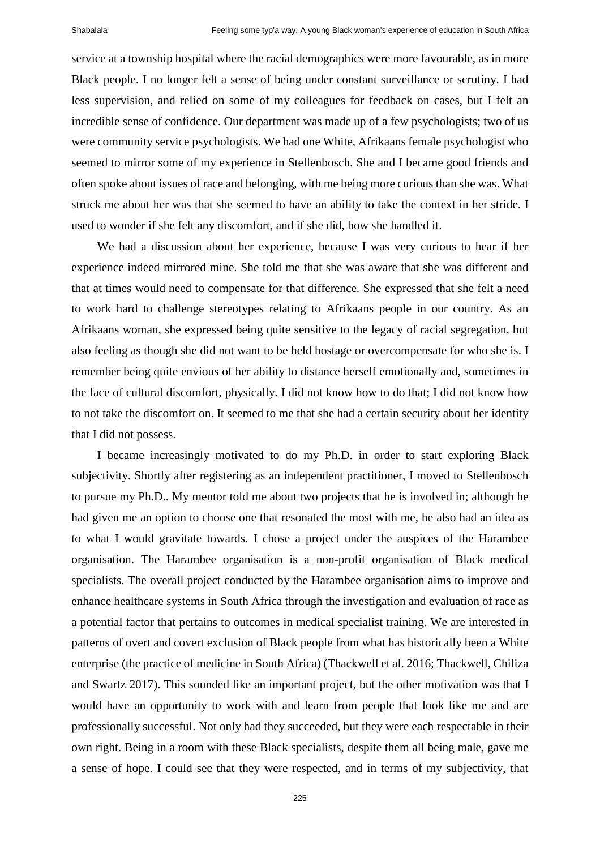service at a township hospital where the racial demographics were more favourable, as in more Black people. I no longer felt a sense of being under constant surveillance or scrutiny. I had less supervision, and relied on some of my colleagues for feedback on cases, but I felt an incredible sense of confidence. Our department was made up of a few psychologists; two of us were community service psychologists. We had one White, Afrikaans female psychologist who seemed to mirror some of my experience in Stellenbosch. She and I became good friends and often spoke about issues of race and belonging, with me being more curious than she was. What struck me about her was that she seemed to have an ability to take the context in her stride. I used to wonder if she felt any discomfort, and if she did, how she handled it.

We had a discussion about her experience, because I was very curious to hear if her experience indeed mirrored mine. She told me that she was aware that she was different and that at times would need to compensate for that difference. She expressed that she felt a need to work hard to challenge stereotypes relating to Afrikaans people in our country. As an Afrikaans woman, she expressed being quite sensitive to the legacy of racial segregation, but also feeling as though she did not want to be held hostage or overcompensate for who she is. I remember being quite envious of her ability to distance herself emotionally and, sometimes in the face of cultural discomfort, physically. I did not know how to do that; I did not know how to not take the discomfort on. It seemed to me that she had a certain security about her identity that I did not possess.

I became increasingly motivated to do my Ph.D. in order to start exploring Black subjectivity. Shortly after registering as an independent practitioner, I moved to Stellenbosch to pursue my Ph.D.. My mentor told me about two projects that he is involved in; although he had given me an option to choose one that resonated the most with me, he also had an idea as to what I would gravitate towards. I chose a project under the auspices of the Harambee organisation. The Harambee organisation is a non-profit organisation of Black medical specialists. The overall project conducted by the Harambee organisation aims to improve and enhance healthcare systems in South Africa through the investigation and evaluation of race as a potential factor that pertains to outcomes in medical specialist training. We are interested in patterns of overt and covert exclusion of Black people from what has historically been a White enterprise (the practice of medicine in South Africa) (Thackwell et al. 2016; Thackwell, Chiliza and Swartz 2017). This sounded like an important project, but the other motivation was that I would have an opportunity to work with and learn from people that look like me and are professionally successful. Not only had they succeeded, but they were each respectable in their own right. Being in a room with these Black specialists, despite them all being male, gave me a sense of hope. I could see that they were respected, and in terms of my subjectivity, that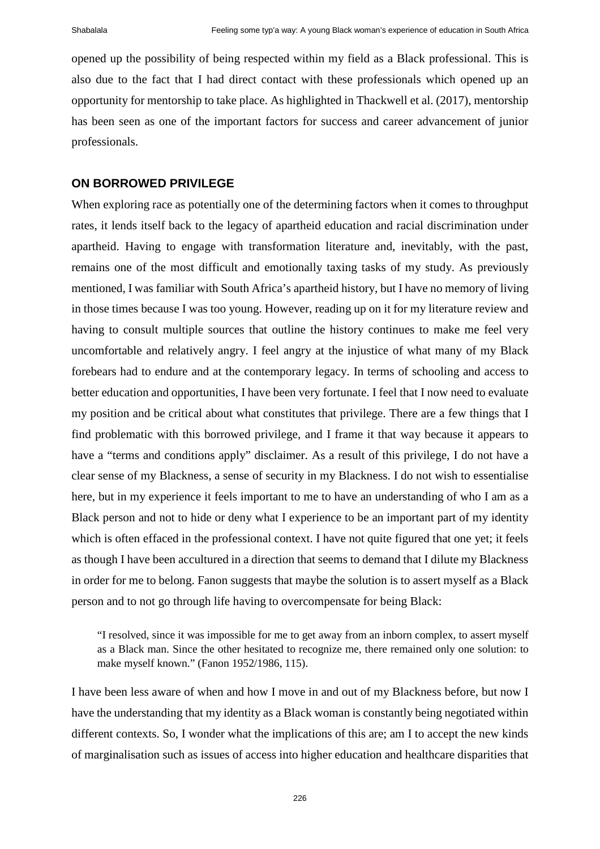opened up the possibility of being respected within my field as a Black professional. This is also due to the fact that I had direct contact with these professionals which opened up an opportunity for mentorship to take place. As highlighted in Thackwell et al. (2017), mentorship has been seen as one of the important factors for success and career advancement of junior professionals.

#### **ON BORROWED PRIVILEGE**

When exploring race as potentially one of the determining factors when it comes to throughput rates, it lends itself back to the legacy of apartheid education and racial discrimination under apartheid. Having to engage with transformation literature and, inevitably, with the past, remains one of the most difficult and emotionally taxing tasks of my study. As previously mentioned, I was familiar with South Africa's apartheid history, but I have no memory of living in those times because I was too young. However, reading up on it for my literature review and having to consult multiple sources that outline the history continues to make me feel very uncomfortable and relatively angry. I feel angry at the injustice of what many of my Black forebears had to endure and at the contemporary legacy. In terms of schooling and access to better education and opportunities, I have been very fortunate. I feel that I now need to evaluate my position and be critical about what constitutes that privilege. There are a few things that I find problematic with this borrowed privilege, and I frame it that way because it appears to have a "terms and conditions apply" disclaimer. As a result of this privilege, I do not have a clear sense of my Blackness, a sense of security in my Blackness. I do not wish to essentialise here, but in my experience it feels important to me to have an understanding of who I am as a Black person and not to hide or deny what I experience to be an important part of my identity which is often effaced in the professional context. I have not quite figured that one yet; it feels as though I have been accultured in a direction that seems to demand that I dilute my Blackness in order for me to belong. Fanon suggests that maybe the solution is to assert myself as a Black person and to not go through life having to overcompensate for being Black:

"I resolved, since it was impossible for me to get away from an inborn complex, to assert myself as a Black man. Since the other hesitated to recognize me, there remained only one solution: to make myself known." (Fanon 1952/1986, 115).

I have been less aware of when and how I move in and out of my Blackness before, but now I have the understanding that my identity as a Black woman is constantly being negotiated within different contexts. So, I wonder what the implications of this are; am I to accept the new kinds of marginalisation such as issues of access into higher education and healthcare disparities that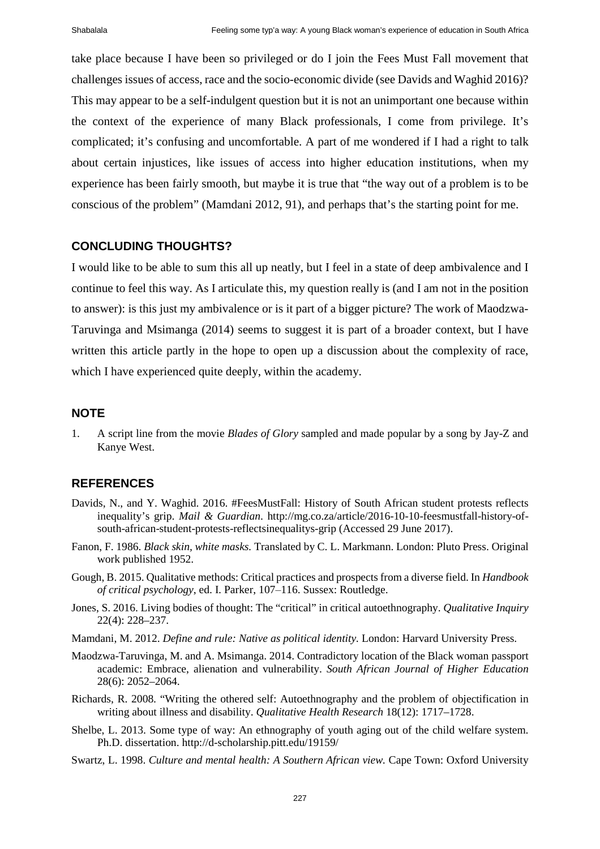take place because I have been so privileged or do I join the Fees Must Fall movement that challenges issues of access, race and the socio-economic divide (see Davids and Waghid 2016)? This may appear to be a self-indulgent question but it is not an unimportant one because within the context of the experience of many Black professionals, I come from privilege. It's complicated; it's confusing and uncomfortable. A part of me wondered if I had a right to talk about certain injustices, like issues of access into higher education institutions, when my experience has been fairly smooth, but maybe it is true that "the way out of a problem is to be conscious of the problem" (Mamdani 2012, 91), and perhaps that's the starting point for me.

#### **CONCLUDING THOUGHTS?**

I would like to be able to sum this all up neatly, but I feel in a state of deep ambivalence and I continue to feel this way. As I articulate this, my question really is (and I am not in the position to answer): is this just my ambivalence or is it part of a bigger picture? The work of Maodzwa-Taruvinga and Msimanga (2014) seems to suggest it is part of a broader context, but I have written this article partly in the hope to open up a discussion about the complexity of race, which I have experienced quite deeply, within the academy.

## **NOTE**

1. A script line from the movie *Blades of Glory* sampled and made popular by a song by Jay-Z and Kanye West.

#### **REFERENCES**

- Davids, N., and Y. Waghid. 2016. #FeesMustFall: History of South African student protests reflects inequality's grip. *Mail & Guardian*. http://mg.co.za/article/2016-10-10-feesmustfall-history-ofsouth-african-student-protests-reflectsinequalitys-grip (Accessed 29 June 2017).
- Fanon, F. 1986. *Black skin, white masks.* Translated by C. L. Markmann. London: Pluto Press. Original work published 1952.
- Gough, B. 2015. Qualitative methods: Critical practices and prospects from a diverse field. In *Handbook of critical psychology*, ed. I. Parker, 107‒116. Sussex: Routledge.
- Jones, S. 2016. Living bodies of thought: The "critical" in critical autoethnography. *Qualitative Inquiry* 22(4): 228–237.
- Mamdani, M. 2012. *Define and rule: Native as political identity.* London: Harvard University Press.
- Maodzwa-Taruvinga, M. and A. Msimanga. 2014. Contradictory location of the Black woman passport academic: Embrace, alienation and vulnerability. *South African Journal of Higher Education*  28(6): 2052–2064.
- Richards, R. 2008. "Writing the othered self: Autoethnography and the problem of objectification in writing about illness and disability. *Qualitative Health Research* 18(12): 1717–1728.
- Shelbe, L. 2013. Some type of way: An ethnography of youth aging out of the child welfare system. Ph.D. dissertation. http://d-scholarship.pitt.edu/19159/
- Swartz, L. 1998. *Culture and mental health: A Southern African view.* Cape Town: Oxford University